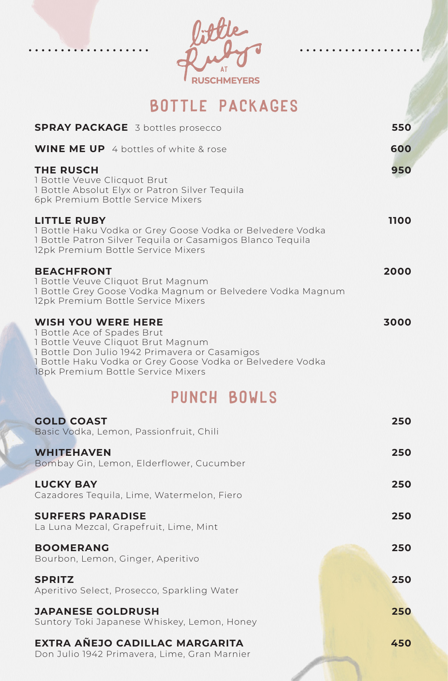Bottle Packages

| <b>SPRAY PACKAGE</b> 3 bottles prosecco                                                                                                                                                                                                              | 550  |
|------------------------------------------------------------------------------------------------------------------------------------------------------------------------------------------------------------------------------------------------------|------|
| <b>WINE ME UP</b> 4 bottles of white & rose                                                                                                                                                                                                          | 600  |
| <b>THE RUSCH</b><br>1 Bottle Veuve Clicquot Brut<br>1 Bottle Absolut Elyx or Patron Silver Tequila<br>6pk Premium Bottle Service Mixers                                                                                                              | 950  |
| LITTLE RUBY<br>1 Bottle Haku Vodka or Grey Goose Vodka or Belvedere Vodka<br>1 Bottle Patron Silver Tequila or Casamigos Blanco Tequila<br>12pk Premium Bottle Service Mixers                                                                        | 1100 |
| <b>BEACHFRONT</b><br>1 Bottle Veuve Cliquot Brut Magnum<br>1 Bottle Grey Goose Vodka Magnum or Belvedere Vodka Magnum<br>12pk Premium Bottle Service Mixers                                                                                          | 2000 |
| <b>WISH YOU WERE HERE</b><br>1 Bottle Ace of Spades Brut<br>1 Bottle Veuve Cliquot Brut Magnum<br>1 Bottle Don Julio 1942 Primavera or Casamigos<br>1 Bottle Haku Vodka or Grey Goose Vodka or Belvedere Vodka<br>18pk Premium Bottle Service Mixers | 3000 |
| PUNCH BOWLS                                                                                                                                                                                                                                          |      |
| <b>GOLD COAST</b><br>Basic Vodka, Lemon, Passionfruit, Chili                                                                                                                                                                                         | 250  |
| <b>WHITEHAVEN</b><br>Bombay Gin, Lemon, Elderflower, Cucumber                                                                                                                                                                                        | 250  |
| <b>LUCKY BAY</b><br>Cazadores Tequila, Lime, Watermelon, Fiero                                                                                                                                                                                       | 250  |
| <b>SURFERS PARADISE</b><br>La Luna Mezcal, Grapefruit, Lime, Mint                                                                                                                                                                                    | 250  |
| <b>BOOMERANG</b><br>Bourbon, Lemon, Ginger, Aperitivo                                                                                                                                                                                                | 250  |
| <b>SPRITZ</b><br>Aperitivo Select, Prosecco, Sparkling Water                                                                                                                                                                                         | 250  |
| <b>JAPANESE GOLDRUSH</b><br>Suntory Toki Japanese Whiskey, Lemon, Honey                                                                                                                                                                              | 250  |
| EXTRA AÑEJO CADILLAC MARGARITA<br>Don Julio 1942 Primavera, Lime, Gran Marnier                                                                                                                                                                       | 450  |